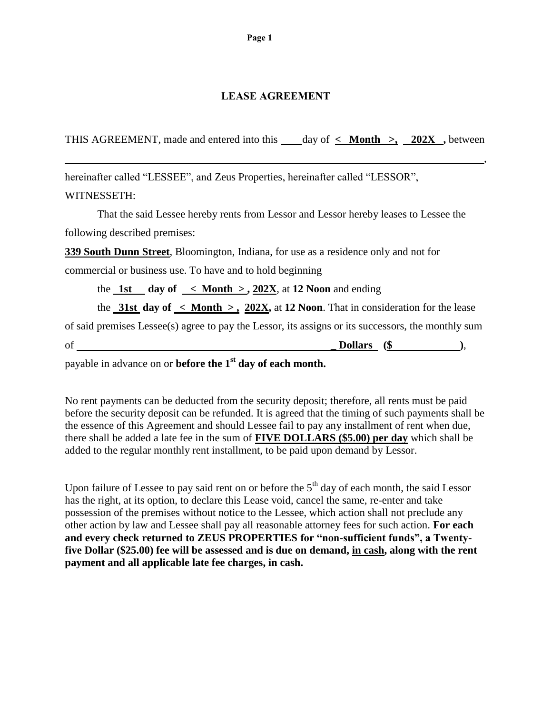## **LEASE AGREEMENT**

THIS AGREEMENT, made and entered into this day of **< Month >, 202X ,** between

, where the contract of the contract of the contract of the contract of the contract of the contract of the contract of the contract of the contract of the contract of the contract of the contract of the contract of the c

hereinafter called "LESSEE", and Zeus Properties, hereinafter called "LESSOR",

### WITNESSETH:

That the said Lessee hereby rents from Lessor and Lessor hereby leases to Lessee the following described premises:

**339 South Dunn Street**, Bloomington, Indiana, for use as a residence only and not for

commercial or business use. To have and to hold beginning

the  $1st$  day of  $\leq$  **Month**  $\geq$ , 202X, at 12 Noon and ending

the **31st day of < Month > , 202X,** at **12 Noon**. That in consideration for the lease

of said premises Lessee(s) agree to pay the Lessor, its assigns or its successors, the monthly sum

of **\_ Dollars (\$ )**,

payable in advance on or **before the 1st day of each month.**

No rent payments can be deducted from the security deposit; therefore, all rents must be paid before the security deposit can be refunded. It is agreed that the timing of such payments shall be the essence of this Agreement and should Lessee fail to pay any installment of rent when due, there shall be added a late fee in the sum of **FIVE DOLLARS (\$5.00) per day** which shall be added to the regular monthly rent installment, to be paid upon demand by Lessor.

Upon failure of Lessee to pay said rent on or before the 5<sup>th</sup> day of each month, the said Lessor has the right, at its option, to declare this Lease void, cancel the same, re-enter and take possession of the premises without notice to the Lessee, which action shall not preclude any other action by law and Lessee shall pay all reasonable attorney fees for such action. **For each and every check returned to ZEUS PROPERTIES for "non-sufficient funds", a Twentyfive Dollar (\$25.00) fee will be assessed and is due on demand, in cash, along with the rent payment and all applicable late fee charges, in cash.**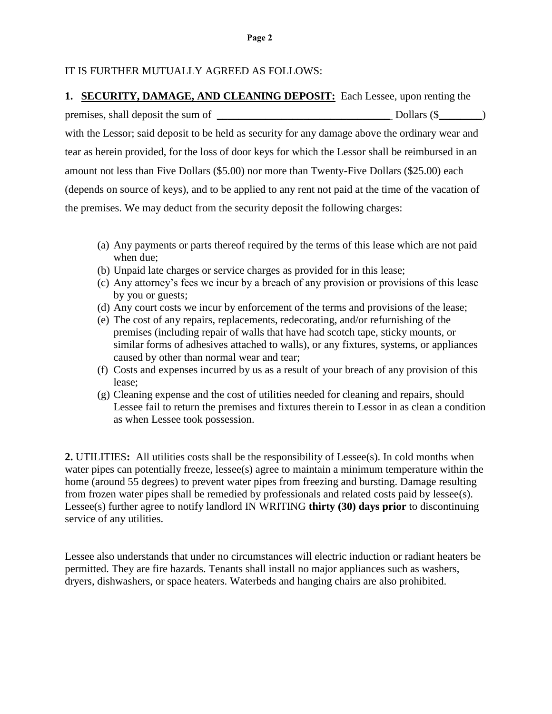### IT IS FURTHER MUTUALLY AGREED AS FOLLOWS:

#### **1. SECURITY, DAMAGE, AND CLEANING DEPOSIT:** Each Lessee, upon renting the

premises, shall deposit the sum of \_\_\_\_\_\_\_\_\_\_\_\_\_\_\_\_\_\_\_\_\_\_\_\_\_\_\_\_\_\_\_\_ Dollars (\$\_\_\_\_\_\_\_\_)

with the Lessor; said deposit to be held as security for any damage above the ordinary wear and tear as herein provided, for the loss of door keys for which the Lessor shall be reimbursed in an amount not less than Five Dollars (\$5.00) nor more than Twenty-Five Dollars (\$25.00) each (depends on source of keys), and to be applied to any rent not paid at the time of the vacation of the premises. We may deduct from the security deposit the following charges:

- (a) Any payments or parts thereof required by the terms of this lease which are not paid when due;
- (b) Unpaid late charges or service charges as provided for in this lease;
- (c) Any attorney's fees we incur by a breach of any provision or provisions of this lease by you or guests;
- (d) Any court costs we incur by enforcement of the terms and provisions of the lease;
- (e) The cost of any repairs, replacements, redecorating, and/or refurnishing of the premises (including repair of walls that have had scotch tape, sticky mounts, or similar forms of adhesives attached to walls), or any fixtures, systems, or appliances caused by other than normal wear and tear;
- (f) Costs and expenses incurred by us as a result of your breach of any provision of this lease;
- (g) Cleaning expense and the cost of utilities needed for cleaning and repairs, should Lessee fail to return the premises and fixtures therein to Lessor in as clean a condition as when Lessee took possession.

**2.** UTILITIES: All utilities costs shall be the responsibility of Lessee(s). In cold months when water pipes can potentially freeze, lessee(s) agree to maintain a minimum temperature within the home (around 55 degrees) to prevent water pipes from freezing and bursting. Damage resulting from frozen water pipes shall be remedied by professionals and related costs paid by lessee(s). Lessee(s) further agree to notify landlord IN WRITING **thirty (30) days prior** to discontinuing service of any utilities.

Lessee also understands that under no circumstances will electric induction or radiant heaters be permitted. They are fire hazards. Tenants shall install no major appliances such as washers, dryers, dishwashers, or space heaters. Waterbeds and hanging chairs are also prohibited.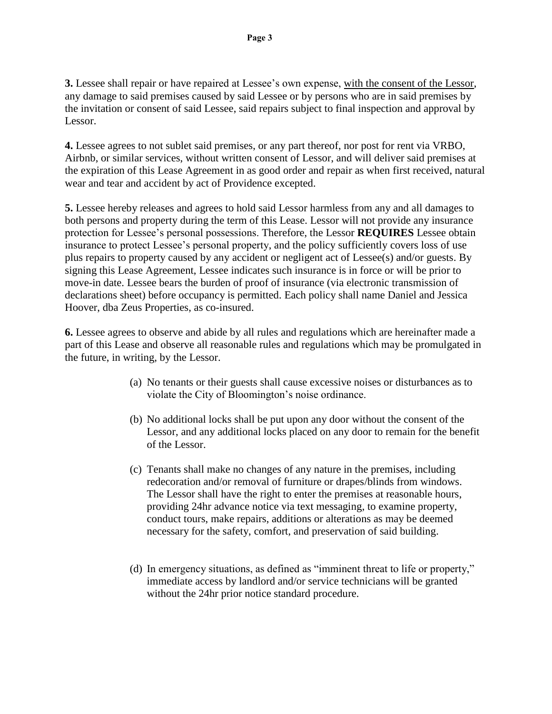**3.** Lessee shall repair or have repaired at Lessee's own expense, with the consent of the Lessor, any damage to said premises caused by said Lessee or by persons who are in said premises by the invitation or consent of said Lessee, said repairs subject to final inspection and approval by Lessor.

**4.** Lessee agrees to not sublet said premises, or any part thereof, nor post for rent via VRBO, Airbnb, or similar services, without written consent of Lessor, and will deliver said premises at the expiration of this Lease Agreement in as good order and repair as when first received, natural wear and tear and accident by act of Providence excepted.

**5.** Lessee hereby releases and agrees to hold said Lessor harmless from any and all damages to both persons and property during the term of this Lease. Lessor will not provide any insurance protection for Lessee's personal possessions. Therefore, the Lessor **REQUIRES** Lessee obtain insurance to protect Lessee's personal property, and the policy sufficiently covers loss of use plus repairs to property caused by any accident or negligent act of Lessee(s) and/or guests. By signing this Lease Agreement, Lessee indicates such insurance is in force or will be prior to move-in date. Lessee bears the burden of proof of insurance (via electronic transmission of declarations sheet) before occupancy is permitted. Each policy shall name Daniel and Jessica Hoover, dba Zeus Properties, as co-insured.

**6.** Lessee agrees to observe and abide by all rules and regulations which are hereinafter made a part of this Lease and observe all reasonable rules and regulations which may be promulgated in the future, in writing, by the Lessor.

- (a) No tenants or their guests shall cause excessive noises or disturbances as to violate the City of Bloomington's noise ordinance.
- (b) No additional locks shall be put upon any door without the consent of the Lessor, and any additional locks placed on any door to remain for the benefit of the Lessor.
- (c) Tenants shall make no changes of any nature in the premises, including redecoration and/or removal of furniture or drapes/blinds from windows. The Lessor shall have the right to enter the premises at reasonable hours, providing 24hr advance notice via text messaging, to examine property, conduct tours, make repairs, additions or alterations as may be deemed necessary for the safety, comfort, and preservation of said building.
- (d) In emergency situations, as defined as "imminent threat to life or property," immediate access by landlord and/or service technicians will be granted without the 24hr prior notice standard procedure.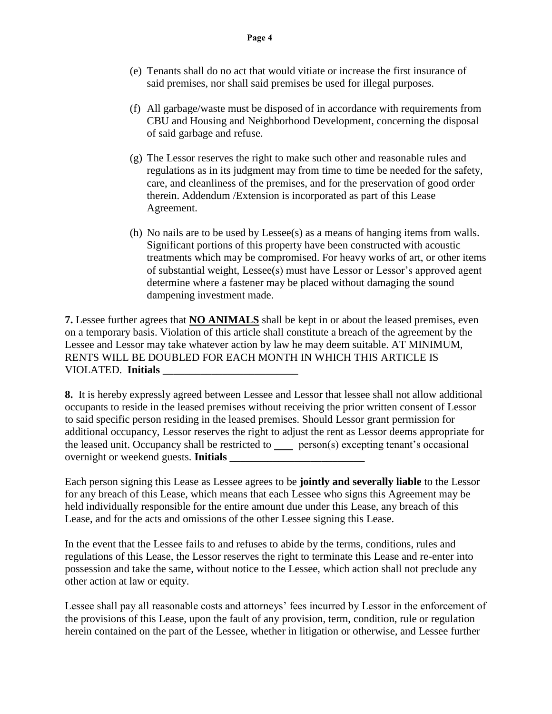- (f) All garbage/waste must be disposed of in accordance with requirements from CBU and Housing and Neighborhood Development, concerning the disposal of said garbage and refuse.
- (g) The Lessor reserves the right to make such other and reasonable rules and regulations as in its judgment may from time to time be needed for the safety, care, and cleanliness of the premises, and for the preservation of good order therein. Addendum /Extension is incorporated as part of this Lease Agreement.
- (h) No nails are to be used by Lessee(s) as a means of hanging items from walls. Significant portions of this property have been constructed with acoustic treatments which may be compromised. For heavy works of art, or other items of substantial weight, Lessee(s) must have Lessor or Lessor's approved agent determine where a fastener may be placed without damaging the sound dampening investment made.

**7.** Lessee further agrees that **NO ANIMALS** shall be kept in or about the leased premises, even on a temporary basis. Violation of this article shall constitute a breach of the agreement by the Lessee and Lessor may take whatever action by law he may deem suitable. AT MINIMUM, RENTS WILL BE DOUBLED FOR EACH MONTH IN WHICH THIS ARTICLE IS VIOLATED. **Initials** \_\_\_\_\_\_\_\_\_\_\_\_\_\_\_\_\_\_\_\_\_\_\_\_\_

**8.** It is hereby expressly agreed between Lessee and Lessor that lessee shall not allow additional occupants to reside in the leased premises without receiving the prior written consent of Lessor to said specific person residing in the leased premises. Should Lessor grant permission for additional occupancy, Lessor reserves the right to adjust the rent as Lessor deems appropriate for the leased unit. Occupancy shall be restricted to  $\equiv$  person(s) excepting tenant's occasional overnight or weekend guests. **Initials** \_\_\_\_\_\_\_\_\_\_\_\_\_\_\_\_\_\_\_\_\_\_\_\_\_

Each person signing this Lease as Lessee agrees to be **jointly and severally liable** to the Lessor for any breach of this Lease, which means that each Lessee who signs this Agreement may be held individually responsible for the entire amount due under this Lease, any breach of this Lease, and for the acts and omissions of the other Lessee signing this Lease.

In the event that the Lessee fails to and refuses to abide by the terms, conditions, rules and regulations of this Lease, the Lessor reserves the right to terminate this Lease and re-enter into possession and take the same, without notice to the Lessee, which action shall not preclude any other action at law or equity.

Lessee shall pay all reasonable costs and attorneys' fees incurred by Lessor in the enforcement of the provisions of this Lease, upon the fault of any provision, term, condition, rule or regulation herein contained on the part of the Lessee, whether in litigation or otherwise, and Lessee further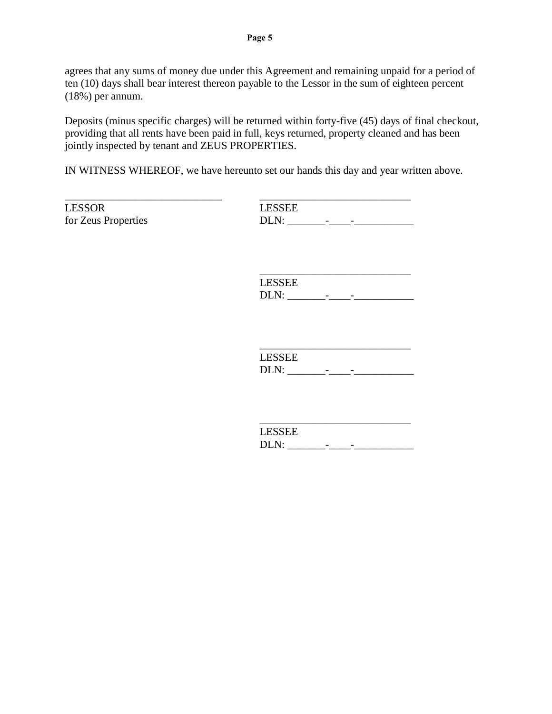agrees that any sums of money due under this Agreement and remaining unpaid for a period of ten (10) days shall bear interest thereon payable to the Lessor in the sum of eighteen percent (18%) per annum.

Deposits (minus specific charges) will be returned within forty-five (45) days of final checkout, providing that all rents have been paid in full, keys returned, property cleaned and has been jointly inspected by tenant and ZEUS PROPERTIES.

IN WITNESS WHEREOF, we have hereunto set our hands this day and year written above.

LESSOR LESSEE

\_\_\_\_\_\_\_\_\_\_\_\_\_\_\_\_\_\_\_\_\_\_\_\_\_\_\_\_\_ \_\_\_\_\_\_\_\_\_\_\_\_\_\_\_\_\_\_\_\_\_\_\_\_\_\_\_\_ for Zeus Properties DLN: \_\_\_\_\_\_\_-\_\_\_\_-\_\_\_\_\_\_\_\_\_\_\_

> \_\_\_\_\_\_\_\_\_\_\_\_\_\_\_\_\_\_\_\_\_\_\_\_\_\_\_\_ LESSEE DLN: \_\_\_\_\_\_\_-\_\_\_\_-\_\_\_\_\_\_\_\_\_\_\_

> LESSEE DLN: \_\_\_\_\_\_\_-\_\_\_\_-\_\_\_\_\_\_\_\_\_\_\_

 $\mathcal{L}_\text{max}$  and  $\mathcal{L}_\text{max}$  and  $\mathcal{L}_\text{max}$  and  $\mathcal{L}_\text{max}$ 

| LESSEE |  |  |
|--------|--|--|
| DLN:   |  |  |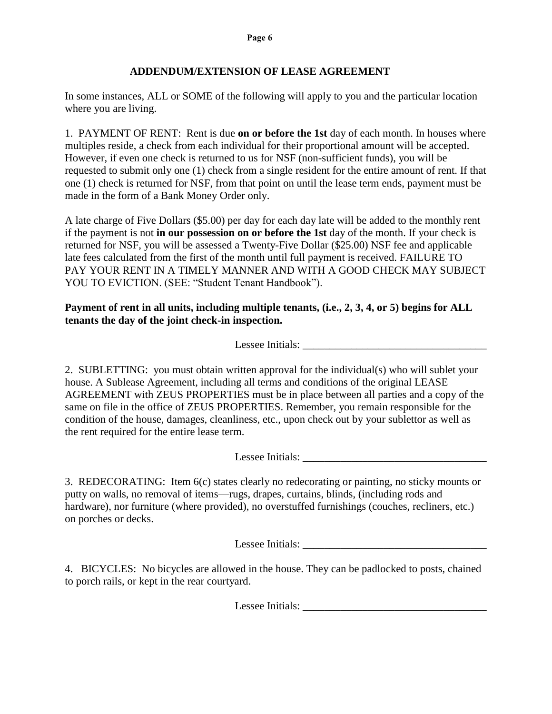# **ADDENDUM/EXTENSION OF LEASE AGREEMENT**

In some instances, ALL or SOME of the following will apply to you and the particular location where you are living.

1. PAYMENT OF RENT: Rent is due **on or before the 1st** day of each month. In houses where multiples reside, a check from each individual for their proportional amount will be accepted. However, if even one check is returned to us for NSF (non-sufficient funds), you will be requested to submit only one (1) check from a single resident for the entire amount of rent. If that one (1) check is returned for NSF, from that point on until the lease term ends, payment must be made in the form of a Bank Money Order only.

A late charge of Five Dollars (\$5.00) per day for each day late will be added to the monthly rent if the payment is not **in our possession on or before the 1st** day of the month. If your check is returned for NSF, you will be assessed a Twenty-Five Dollar (\$25.00) NSF fee and applicable late fees calculated from the first of the month until full payment is received. FAILURE TO PAY YOUR RENT IN A TIMELY MANNER AND WITH A GOOD CHECK MAY SUBJECT YOU TO EVICTION. (SEE: "Student Tenant Handbook").

# **Payment of rent in all units, including multiple tenants, (i.e., 2, 3, 4, or 5) begins for ALL tenants the day of the joint check-in inspection.**

Lessee Initials: \_\_\_\_\_\_\_\_\_\_\_\_\_\_\_\_\_\_\_\_\_\_\_\_\_\_\_\_\_\_\_\_\_\_

2. SUBLETTING: you must obtain written approval for the individual(s) who will sublet your house. A Sublease Agreement, including all terms and conditions of the original LEASE AGREEMENT with ZEUS PROPERTIES must be in place between all parties and a copy of the same on file in the office of ZEUS PROPERTIES. Remember, you remain responsible for the condition of the house, damages, cleanliness, etc., upon check out by your sublettor as well as the rent required for the entire lease term.

Lessee Initials:

3. REDECORATING: Item 6(c) states clearly no redecorating or painting, no sticky mounts or putty on walls, no removal of items—rugs, drapes, curtains, blinds, (including rods and hardware), nor furniture (where provided), no overstuffed furnishings (couches, recliners, etc.) on porches or decks.

Lessee Initials: \_\_\_\_\_\_\_\_\_\_\_\_\_\_\_\_\_\_\_\_\_\_\_\_\_\_\_\_\_\_\_\_\_\_

4. BICYCLES: No bicycles are allowed in the house. They can be padlocked to posts, chained to porch rails, or kept in the rear courtyard.

Lessee Initials: \_\_\_\_\_\_\_\_\_\_\_\_\_\_\_\_\_\_\_\_\_\_\_\_\_\_\_\_\_\_\_\_\_\_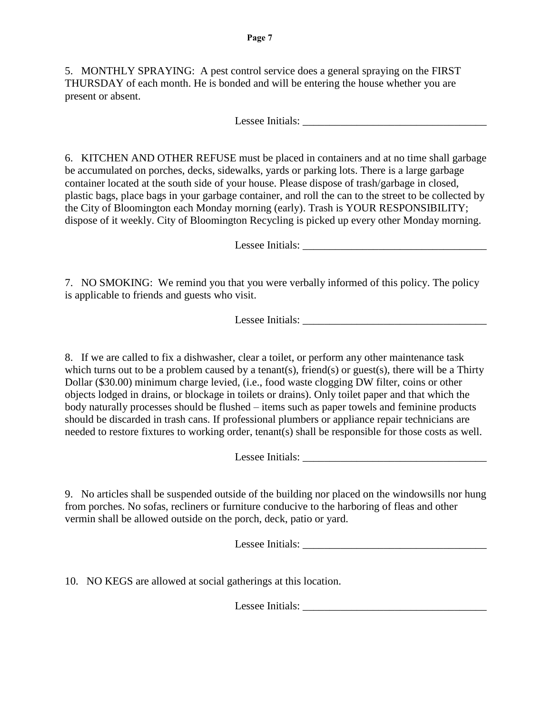5. MONTHLY SPRAYING: A pest control service does a general spraying on the FIRST THURSDAY of each month. He is bonded and will be entering the house whether you are present or absent.

Lessee Initials:

6. KITCHEN AND OTHER REFUSE must be placed in containers and at no time shall garbage be accumulated on porches, decks, sidewalks, yards or parking lots. There is a large garbage container located at the south side of your house. Please dispose of trash/garbage in closed, plastic bags, place bags in your garbage container, and roll the can to the street to be collected by the City of Bloomington each Monday morning (early). Trash is YOUR RESPONSIBILITY; dispose of it weekly. City of Bloomington Recycling is picked up every other Monday morning.

Lessee Initials:

7. NO SMOKING: We remind you that you were verbally informed of this policy. The policy is applicable to friends and guests who visit.

Lessee Initials:

8. If we are called to fix a dishwasher, clear a toilet, or perform any other maintenance task which turns out to be a problem caused by a tenant(s), friend(s) or guest(s), there will be a Thirty Dollar (\$30.00) minimum charge levied, (i.e., food waste clogging DW filter, coins or other objects lodged in drains, or blockage in toilets or drains). Only toilet paper and that which the body naturally processes should be flushed – items such as paper towels and feminine products should be discarded in trash cans. If professional plumbers or appliance repair technicians are needed to restore fixtures to working order, tenant(s) shall be responsible for those costs as well.

Lessee Initials: \_\_\_\_\_\_\_\_\_\_\_\_\_\_\_\_\_\_\_\_\_\_\_\_\_\_\_\_\_\_\_\_\_\_

9. No articles shall be suspended outside of the building nor placed on the windowsills nor hung from porches. No sofas, recliners or furniture conducive to the harboring of fleas and other vermin shall be allowed outside on the porch, deck, patio or yard.

Lessee Initials: \_\_\_\_\_\_\_\_\_\_\_\_\_\_\_\_\_\_\_\_\_\_\_\_\_\_\_\_\_\_\_\_\_\_

10. NO KEGS are allowed at social gatherings at this location.

Lessee Initials: \_\_\_\_\_\_\_\_\_\_\_\_\_\_\_\_\_\_\_\_\_\_\_\_\_\_\_\_\_\_\_\_\_\_